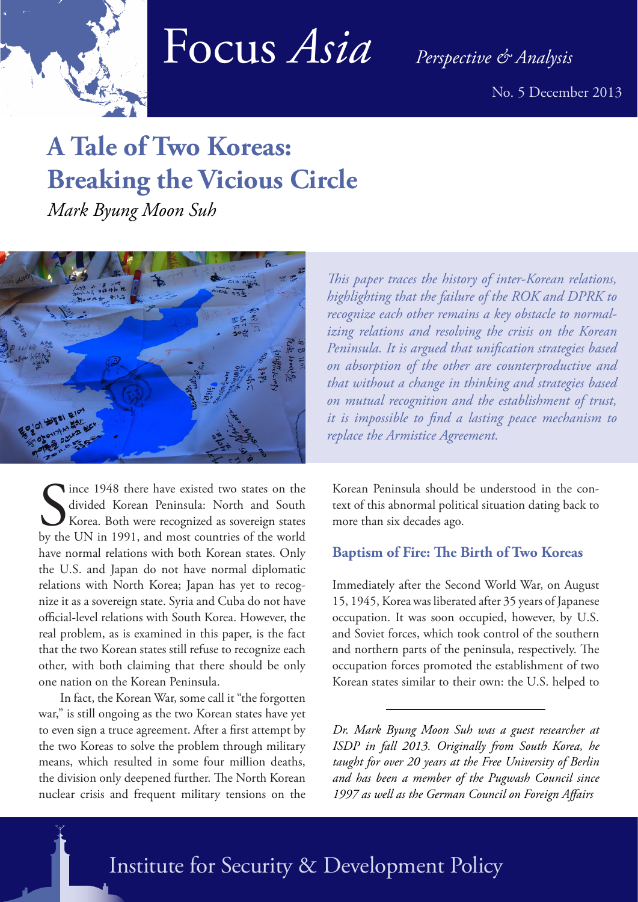

# Focus *Asia Perspective & Analysis*

No. 5 December 2013

# **A Tale of Two Koreas: Breaking the Vicious Circle**

*Mark Byung Moon Suh*



Since 1948 there have existed two states on the divided Korean Peninsula: North and South Korea. Both were recognized as sovereign states by the UN in 1991, and most countries of the world Ince 1948 there have existed two states on the divided Korean Peninsula: North and South Korea. Both were recognized as sovereign states have normal relations with both Korean states. Only the U.S. and Japan do not have normal diplomatic relations with North Korea; Japan has yet to recognize it as a sovereign state. Syria and Cuba do not have official-level relations with South Korea. However, the real problem, as is examined in this paper, is the fact that the two Korean states still refuse to recognize each other, with both claiming that there should be only one nation on the Korean Peninsula.

In fact, the Korean War, some call it "the forgotten war," is still ongoing as the two Korean states have yet to even sign a truce agreement. After a first attempt by the two Koreas to solve the problem through military means, which resulted in some four million deaths, the division only deepened further. The North Korean nuclear crisis and frequent military tensions on the

*This paper traces the history of inter-Korean relations, highlighting that the failure of the ROK and DPRK to recognize each other remains a key obstacle to normalizing relations and resolving the crisis on the Korean Peninsula. It is argued that unification strategies based on absorption of the other are counterproductive and that without a change in thinking and strategies based on mutual recognition and the establishment of trust, it is impossible to find a lasting peace mechanism to replace the Armistice Agreement.* 

Korean Peninsula should be understood in the context of this abnormal political situation dating back to more than six decades ago.

# **Baptism of Fire: The Birth of Two Koreas**

Immediately after the Second World War, on August 15, 1945, Korea was liberated after 35 years of Japanese occupation. It was soon occupied, however, by U.S. and Soviet forces, which took control of the southern and northern parts of the peninsula, respectively. The occupation forces promoted the establishment of two Korean states similar to their own: the U.S. helped to

*Dr. Mark Byung Moon Suh was a guest researcher at ISDP in fall 2013. Originally from South Korea, he taught for over 20 years at the Free University of Berlin and has been a member of the Pugwash Council since 1997 as well as the German Council on Foreign Affairs*

Institute for Security & Development Policy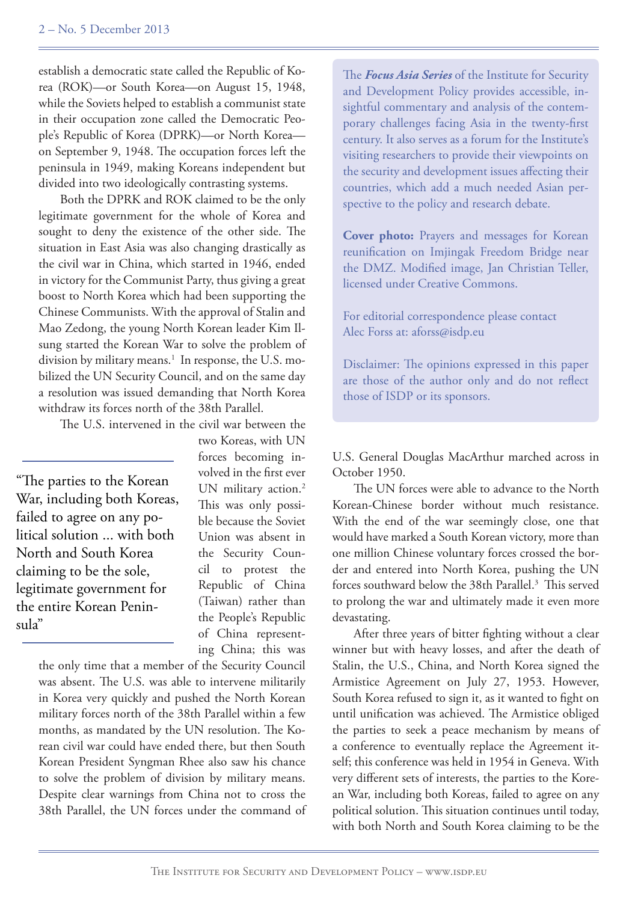establish a democratic state called the Republic of Korea (ROK)—or South Korea—on August 15, 1948, while the Soviets helped to establish a communist state in their occupation zone called the Democratic People's Republic of Korea (DPRK)—or North Korea on September 9, 1948. The occupation forces left the peninsula in 1949, making Koreans independent but divided into two ideologically contrasting systems.

Both the DPRK and ROK claimed to be the only legitimate government for the whole of Korea and sought to deny the existence of the other side. The situation in East Asia was also changing drastically as the civil war in China, which started in 1946, ended in victory for the Communist Party, thus giving a great boost to North Korea which had been supporting the Chinese Communists. With the approval of Stalin and Mao Zedong, the young North Korean leader Kim Ilsung started the Korean War to solve the problem of division by military means.<sup>1</sup> In response, the U.S. mobilized the UN Security Council, and on the same day a resolution was issued demanding that North Korea withdraw its forces north of the 38th Parallel.

The U.S. intervened in the civil war between the

"The parties to the Korean War, including both Koreas, failed to agree on any political solution ... with both North and South Korea claiming to be the sole, legitimate government for the entire Korean Peninsula"

two Koreas, with UN forces becoming involved in the first ever UN military action.<sup>2</sup> This was only possible because the Soviet Union was absent in the Security Council to protest the Republic of China (Taiwan) rather than the People's Republic of China representing China; this was

the only time that a member of the Security Council was absent. The U.S. was able to intervene militarily in Korea very quickly and pushed the North Korean military forces north of the 38th Parallel within a few months, as mandated by the UN resolution. The Korean civil war could have ended there, but then South Korean President Syngman Rhee also saw his chance to solve the problem of division by military means. Despite clear warnings from China not to cross the 38th Parallel, the UN forces under the command of The *Focus Asia Series* of the Institute for Security and Development Policy provides accessible, insightful commentary and analysis of the contemporary challenges facing Asia in the twenty-first century. It also serves as a forum for the Institute's visiting researchers to provide their viewpoints on the security and development issues affecting their countries, which add a much needed Asian perspective to the policy and research debate.

**Cover photo:** Prayers and messages for Korean reunification on Imjingak Freedom Bridge near the DMZ. Modified image, Jan Christian Teller, licensed under Creative Commons.

For editorial correspondence please contact Alec Forss at: aforss@isdp.eu

Disclaimer: The opinions expressed in this paper are those of the author only and do not reflect those of ISDP or its sponsors.

U.S. General Douglas MacArthur marched across in October 1950.

The UN forces were able to advance to the North Korean-Chinese border without much resistance. With the end of the war seemingly close, one that would have marked a South Korean victory, more than one million Chinese voluntary forces crossed the border and entered into North Korea, pushing the UN forces southward below the 38th Parallel.<sup>3</sup> This served to prolong the war and ultimately made it even more devastating.

After three years of bitter fighting without a clear winner but with heavy losses, and after the death of Stalin, the U.S., China, and North Korea signed the Armistice Agreement on July 27, 1953. However, South Korea refused to sign it, as it wanted to fight on until unification was achieved. The Armistice obliged the parties to seek a peace mechanism by means of a conference to eventually replace the Agreement itself; this conference was held in 1954 in Geneva. With very different sets of interests, the parties to the Korean War, including both Koreas, failed to agree on any political solution. This situation continues until today, with both North and South Korea claiming to be the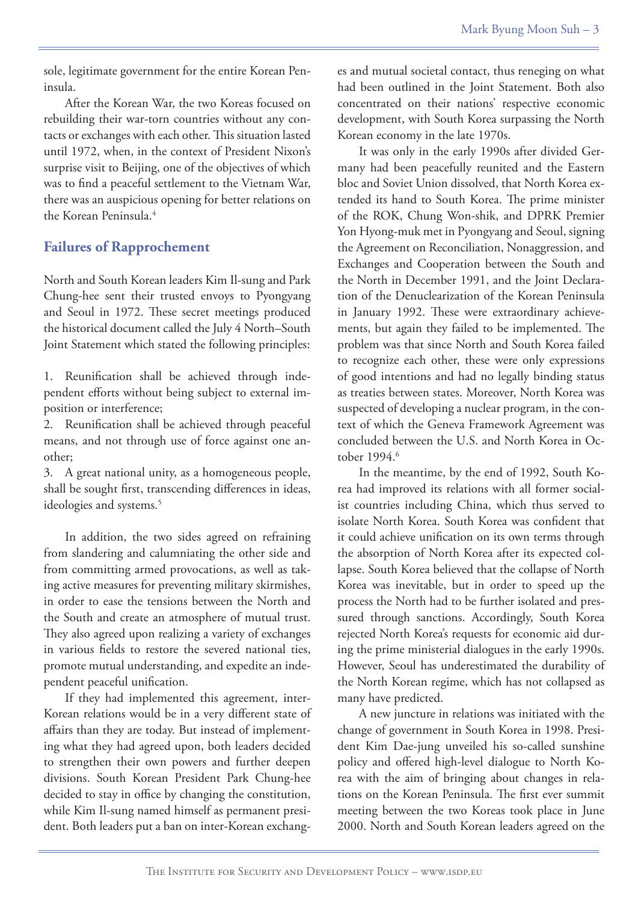sole, legitimate government for the entire Korean Peninsula.

After the Korean War, the two Koreas focused on rebuilding their war-torn countries without any contacts or exchanges with each other. This situation lasted until 1972, when, in the context of President Nixon's surprise visit to Beijing, one of the objectives of which was to find a peaceful settlement to the Vietnam War, there was an auspicious opening for better relations on the Korean Peninsula.4

# **Failures of Rapprochement**

North and South Korean leaders Kim Il-sung and Park Chung-hee sent their trusted envoys to Pyongyang and Seoul in 1972. These secret meetings produced the historical document called the July 4 North–South Joint Statement which stated the following principles:

1. Reunification shall be achieved through independent efforts without being subject to external imposition or interference;

2. Reunification shall be achieved through peaceful means, and not through use of force against one another;

3. A great national unity, as a homogeneous people, shall be sought first, transcending differences in ideas, ideologies and systems.<sup>5</sup>

In addition, the two sides agreed on refraining from slandering and calumniating the other side and from committing armed provocations, as well as taking active measures for preventing military skirmishes, in order to ease the tensions between the North and the South and create an atmosphere of mutual trust. They also agreed upon realizing a variety of exchanges in various fields to restore the severed national ties, promote mutual understanding, and expedite an independent peaceful unification.

If they had implemented this agreement, inter-Korean relations would be in a very different state of affairs than they are today. But instead of implementing what they had agreed upon, both leaders decided to strengthen their own powers and further deepen divisions. South Korean President Park Chung-hee decided to stay in office by changing the constitution, while Kim Il-sung named himself as permanent president. Both leaders put a ban on inter-Korean exchang-

es and mutual societal contact, thus reneging on what had been outlined in the Joint Statement. Both also concentrated on their nations' respective economic development, with South Korea surpassing the North Korean economy in the late 1970s.

It was only in the early 1990s after divided Germany had been peacefully reunited and the Eastern bloc and Soviet Union dissolved, that North Korea extended its hand to South Korea. The prime minister of the ROK, Chung Won-shik, and DPRK Premier Yon Hyong-muk met in Pyongyang and Seoul, signing the Agreement on Reconciliation, Nonaggression, and Exchanges and Cooperation between the South and the North in December 1991, and the Joint Declaration of the Denuclearization of the Korean Peninsula in January 1992. These were extraordinary achievements, but again they failed to be implemented. The problem was that since North and South Korea failed to recognize each other, these were only expressions of good intentions and had no legally binding status as treaties between states. Moreover, North Korea was suspected of developing a nuclear program, in the context of which the Geneva Framework Agreement was concluded between the U.S. and North Korea in October 1994.<sup>6</sup>

In the meantime, by the end of 1992, South Korea had improved its relations with all former socialist countries including China, which thus served to isolate North Korea. South Korea was confident that it could achieve unification on its own terms through the absorption of North Korea after its expected collapse. South Korea believed that the collapse of North Korea was inevitable, but in order to speed up the process the North had to be further isolated and pressured through sanctions. Accordingly, South Korea rejected North Korea's requests for economic aid during the prime ministerial dialogues in the early 1990s. However, Seoul has underestimated the durability of the North Korean regime, which has not collapsed as many have predicted.

A new juncture in relations was initiated with the change of government in South Korea in 1998. President Kim Dae-jung unveiled his so-called sunshine policy and offered high-level dialogue to North Korea with the aim of bringing about changes in relations on the Korean Peninsula. The first ever summit meeting between the two Koreas took place in June 2000. North and South Korean leaders agreed on the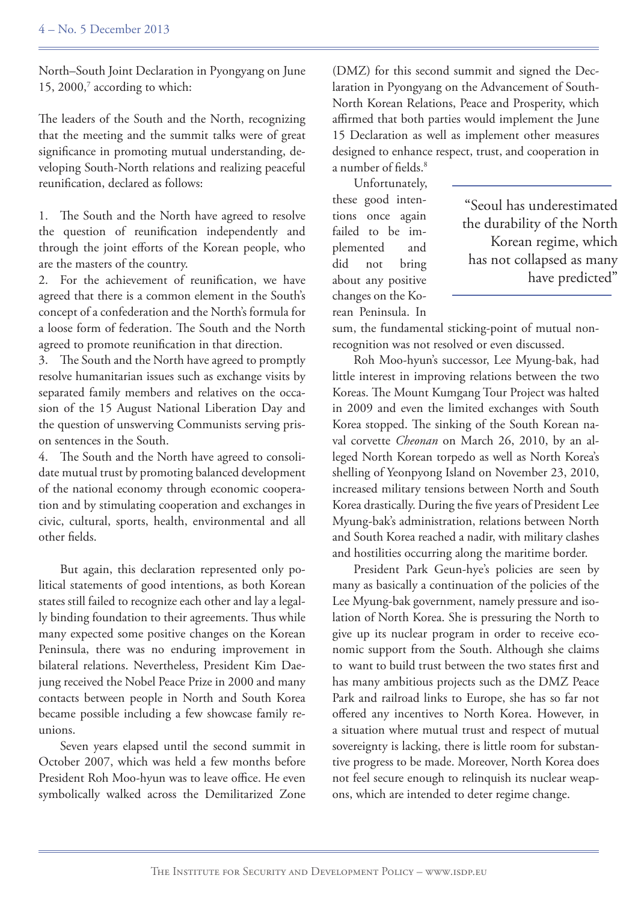North–South Joint Declaration in Pyongyang on June 15, 2000, $^7$  according to which:

The leaders of the South and the North, recognizing that the meeting and the summit talks were of great significance in promoting mutual understanding, developing South-North relations and realizing peaceful reunification, declared as follows:

1. The South and the North have agreed to resolve the question of reunification independently and through the joint efforts of the Korean people, who are the masters of the country.

2. For the achievement of reunification, we have agreed that there is a common element in the South's concept of a confederation and the North's formula for a loose form of federation. The South and the North agreed to promote reunification in that direction.

3. The South and the North have agreed to promptly resolve humanitarian issues such as exchange visits by separated family members and relatives on the occasion of the 15 August National Liberation Day and the question of unswerving Communists serving prison sentences in the South.

4. The South and the North have agreed to consolidate mutual trust by promoting balanced development of the national economy through economic cooperation and by stimulating cooperation and exchanges in civic, cultural, sports, health, environmental and all other fields.

But again, this declaration represented only political statements of good intentions, as both Korean states still failed to recognize each other and lay a legally binding foundation to their agreements. Thus while many expected some positive changes on the Korean Peninsula, there was no enduring improvement in bilateral relations. Nevertheless, President Kim Daejung received the Nobel Peace Prize in 2000 and many contacts between people in North and South Korea became possible including a few showcase family reunions.

Seven years elapsed until the second summit in October 2007, which was held a few months before President Roh Moo-hyun was to leave office. He even symbolically walked across the Demilitarized Zone (DMZ) for this second summit and signed the Declaration in Pyongyang on the Advancement of South-North Korean Relations, Peace and Prosperity, which affirmed that both parties would implement the June 15 Declaration as well as implement other measures designed to enhance respect, trust, and cooperation in a number of fields.8

Unfortunately, these good intentions once again failed to be implemented and did not bring about any positive changes on the Korean Peninsula. In

"Seoul has underestimated the durability of the North Korean regime, which has not collapsed as many have predicted"

sum, the fundamental sticking-point of mutual nonrecognition was not resolved or even discussed.

Roh Moo-hyun's successor, Lee Myung-bak, had little interest in improving relations between the two Koreas. The Mount Kumgang Tour Project was halted in 2009 and even the limited exchanges with South Korea stopped. The sinking of the South Korean naval corvette *Cheonan* on March 26, 2010, by an alleged North Korean torpedo as well as North Korea's shelling of Yeonpyong Island on November 23, 2010, increased military tensions between North and South Korea drastically. During the five years of President Lee Myung-bak's administration, relations between North and South Korea reached a nadir, with military clashes and hostilities occurring along the maritime border.

President Park Geun-hye's policies are seen by many as basically a continuation of the policies of the Lee Myung-bak government, namely pressure and isolation of North Korea. She is pressuring the North to give up its nuclear program in order to receive economic support from the South. Although she claims to want to build trust between the two states first and has many ambitious projects such as the DMZ Peace Park and railroad links to Europe, she has so far not offered any incentives to North Korea. However, in a situation where mutual trust and respect of mutual sovereignty is lacking, there is little room for substantive progress to be made. Moreover, North Korea does not feel secure enough to relinquish its nuclear weapons, which are intended to deter regime change.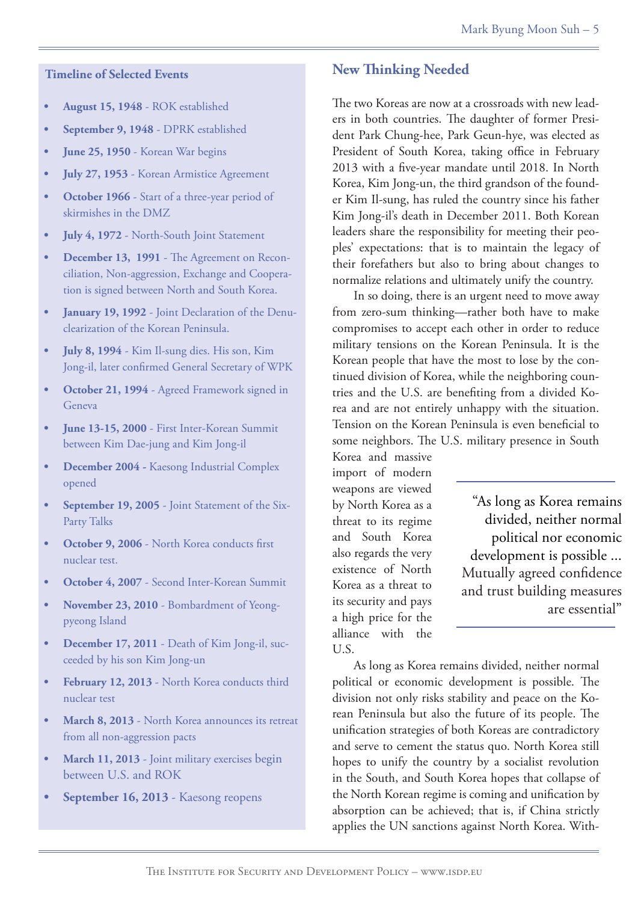#### **Timeline of Selected Events**

- **• August 15, 1948** ROK established
- September 9, 1948 DPRK established
- **• June 25, 1950**  Korean War begins
- **July 27, 1953** Korean Armistice Agreement
- **October 1966** Start of a three-year period of skirmishes in the DMZ
- **July 4, 1972** North-South Joint Statement
- **December 13, 1991** The Agreement on Reconciliation, Non-aggression, Exchange and Cooperation is signed between North and South Korea.
- January 19, 1992 Joint Declaration of the Denuclearization of the Korean Peninsula.
- **July 8, 1994** Kim Il-sung dies. His son, Kim Jong-il, later confirmed General Secretary of WPK
- **October 21, 1994 Agreed Framework signed in** Geneva
- June 13-15, 2000 First Inter-Korean Summit between Kim Dae-jung and Kim Jong-il
- **• December 2004** Kaesong Industrial Complex opened
- **September 19, 2005** Joint Statement of the Six-Party Talks
- **October 9, 2006** North Korea conducts first nuclear test.
- **October 4, 2007** Second Inter-Korean Summit
- November 23, 2010 Bombardment of Yeongpyeong Island
- **December 17, 2011** Death of Kim Jong-il, succeeded by his son Kim Jong-un
- February 12, 2013 North Korea conducts third nuclear test
- **March 8, 2013** North Korea announces its retreat from all non-aggression pacts
- **March 11, 2013** Joint military exercises begin between U.S. and ROK
- September 16, 2013 Kaesong reopens

# **New Thinking Needed**

The two Koreas are now at a crossroads with new leaders in both countries. The daughter of former President Park Chung-hee, Park Geun-hye, was elected as President of South Korea, taking office in February 2013 with a five-year mandate until 2018. In North Korea, Kim Jong-un, the third grandson of the founder Kim Il-sung, has ruled the country since his father Kim Jong-il's death in December 2011. Both Korean leaders share the responsibility for meeting their peoples' expectations: that is to maintain the legacy of their forefathers but also to bring about changes to normalize relations and ultimately unify the country.

In so doing, there is an urgent need to move away from zero-sum thinking—rather both have to make compromises to accept each other in order to reduce military tensions on the Korean Peninsula. It is the Korean people that have the most to lose by the continued division of Korea, while the neighboring countries and the U.S. are benefiting from a divided Korea and are not entirely unhappy with the situation. Tension on the Korean Peninsula is even beneficial to some neighbors. The U.S. military presence in South

Korea and massive import of modern weapons are viewed by North Korea as a threat to its regime and South Korea also regards the very existence of North Korea as a threat to its security and pays a high price for the alliance with the U.S.

"As long as Korea remains divided, neither normal political nor economic development is possible ... Mutually agreed confidence and trust building measures are essential"

As long as Korea remains divided, neither normal political or economic development is possible. The division not only risks stability and peace on the Korean Peninsula but also the future of its people. The unification strategies of both Koreas are contradictory and serve to cement the status quo. North Korea still hopes to unify the country by a socialist revolution in the South, and South Korea hopes that collapse of the North Korean regime is coming and unification by absorption can be achieved; that is, if China strictly applies the UN sanctions against North Korea. With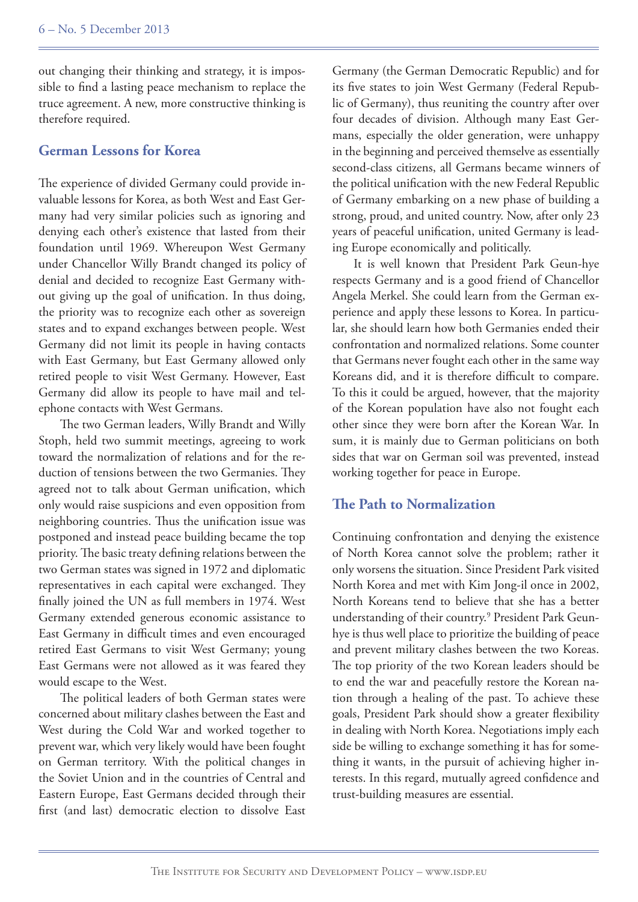out changing their thinking and strategy, it is impossible to find a lasting peace mechanism to replace the truce agreement. A new, more constructive thinking is therefore required.

#### **German Lessons for Korea**

The experience of divided Germany could provide invaluable lessons for Korea, as both West and East Germany had very similar policies such as ignoring and denying each other's existence that lasted from their foundation until 1969. Whereupon West Germany under Chancellor Willy Brandt changed its policy of denial and decided to recognize East Germany without giving up the goal of unification. In thus doing, the priority was to recognize each other as sovereign states and to expand exchanges between people. West Germany did not limit its people in having contacts with East Germany, but East Germany allowed only retired people to visit West Germany. However, East Germany did allow its people to have mail and telephone contacts with West Germans.

The two German leaders, Willy Brandt and Willy Stoph, held two summit meetings, agreeing to work toward the normalization of relations and for the reduction of tensions between the two Germanies. They agreed not to talk about German unification, which only would raise suspicions and even opposition from neighboring countries. Thus the unification issue was postponed and instead peace building became the top priority. The basic treaty defining relations between the two German states was signed in 1972 and diplomatic representatives in each capital were exchanged. They finally joined the UN as full members in 1974. West Germany extended generous economic assistance to East Germany in difficult times and even encouraged retired East Germans to visit West Germany; young East Germans were not allowed as it was feared they would escape to the West.

The political leaders of both German states were concerned about military clashes between the East and West during the Cold War and worked together to prevent war, which very likely would have been fought on German territory. With the political changes in the Soviet Union and in the countries of Central and Eastern Europe, East Germans decided through their first (and last) democratic election to dissolve East

Germany (the German Democratic Republic) and for its five states to join West Germany (Federal Republic of Germany), thus reuniting the country after over four decades of division. Although many East Germans, especially the older generation, were unhappy in the beginning and perceived themselve as essentially second-class citizens, all Germans became winners of the political unification with the new Federal Republic of Germany embarking on a new phase of building a strong, proud, and united country. Now, after only 23 years of peaceful unification, united Germany is leading Europe economically and politically.

It is well known that President Park Geun-hye respects Germany and is a good friend of Chancellor Angela Merkel. She could learn from the German experience and apply these lessons to Korea. In particular, she should learn how both Germanies ended their confrontation and normalized relations. Some counter that Germans never fought each other in the same way Koreans did, and it is therefore difficult to compare. To this it could be argued, however, that the majority of the Korean population have also not fought each other since they were born after the Korean War. In sum, it is mainly due to German politicians on both sides that war on German soil was prevented, instead working together for peace in Europe.

#### **The Path to Normalization**

Continuing confrontation and denying the existence of North Korea cannot solve the problem; rather it only worsens the situation. Since President Park visited North Korea and met with Kim Jong-il once in 2002, North Koreans tend to believe that she has a better understanding of their country.9 President Park Geunhye is thus well place to prioritize the building of peace and prevent military clashes between the two Koreas. The top priority of the two Korean leaders should be to end the war and peacefully restore the Korean nation through a healing of the past. To achieve these goals, President Park should show a greater flexibility in dealing with North Korea. Negotiations imply each side be willing to exchange something it has for something it wants, in the pursuit of achieving higher interests. In this regard, mutually agreed confidence and trust-building measures are essential.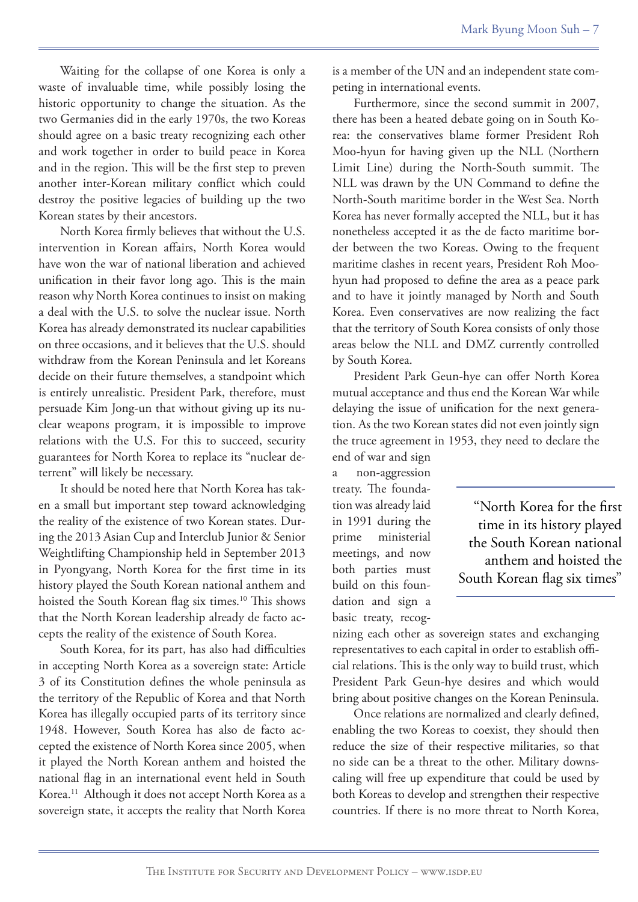Waiting for the collapse of one Korea is only a waste of invaluable time, while possibly losing the historic opportunity to change the situation. As the two Germanies did in the early 1970s, the two Koreas should agree on a basic treaty recognizing each other and work together in order to build peace in Korea and in the region. This will be the first step to preven another inter-Korean military conflict which could destroy the positive legacies of building up the two Korean states by their ancestors.

North Korea firmly believes that without the U.S. intervention in Korean affairs, North Korea would have won the war of national liberation and achieved unification in their favor long ago. This is the main reason why North Korea continues to insist on making a deal with the U.S. to solve the nuclear issue. North Korea has already demonstrated its nuclear capabilities on three occasions, and it believes that the U.S. should withdraw from the Korean Peninsula and let Koreans decide on their future themselves, a standpoint which is entirely unrealistic. President Park, therefore, must persuade Kim Jong-un that without giving up its nuclear weapons program, it is impossible to improve relations with the U.S. For this to succeed, security guarantees for North Korea to replace its "nuclear deterrent" will likely be necessary.

It should be noted here that North Korea has taken a small but important step toward acknowledging the reality of the existence of two Korean states. During the 2013 Asian Cup and Interclub Junior & Senior Weightlifting Championship held in September 2013 in Pyongyang, North Korea for the first time in its history played the South Korean national anthem and hoisted the South Korean flag six times.<sup>10</sup> This shows that the North Korean leadership already de facto accepts the reality of the existence of South Korea.

South Korea, for its part, has also had difficulties in accepting North Korea as a sovereign state: Article 3 of its Constitution defines the whole peninsula as the territory of the Republic of Korea and that North Korea has illegally occupied parts of its territory since 1948. However, South Korea has also de facto accepted the existence of North Korea since 2005, when it played the North Korean anthem and hoisted the national flag in an international event held in South Korea.11 Although it does not accept North Korea as a sovereign state, it accepts the reality that North Korea

is a member of the UN and an independent state competing in international events.

Furthermore, since the second summit in 2007, there has been a heated debate going on in South Korea: the conservatives blame former President Roh Moo-hyun for having given up the NLL (Northern Limit Line) during the North-South summit. The NLL was drawn by the UN Command to define the North-South maritime border in the West Sea. North Korea has never formally accepted the NLL, but it has nonetheless accepted it as the de facto maritime border between the two Koreas. Owing to the frequent maritime clashes in recent years, President Roh Moohyun had proposed to define the area as a peace park and to have it jointly managed by North and South Korea. Even conservatives are now realizing the fact that the territory of South Korea consists of only those areas below the NLL and DMZ currently controlled by South Korea.

President Park Geun-hye can offer North Korea mutual acceptance and thus end the Korean War while delaying the issue of unification for the next generation. As the two Korean states did not even jointly sign the truce agreement in 1953, they need to declare the

end of war and sign a non-aggression treaty. The foundation was already laid in 1991 during the prime ministerial meetings, and now both parties must build on this foundation and sign a basic treaty, recog-

"North Korea for the first time in its history played the South Korean national anthem and hoisted the South Korean flag six times"

nizing each other as sovereign states and exchanging representatives to each capital in order to establish official relations. This is the only way to build trust, which President Park Geun-hye desires and which would bring about positive changes on the Korean Peninsula.

Once relations are normalized and clearly defined, enabling the two Koreas to coexist, they should then reduce the size of their respective militaries, so that no side can be a threat to the other. Military downscaling will free up expenditure that could be used by both Koreas to develop and strengthen their respective countries. If there is no more threat to North Korea,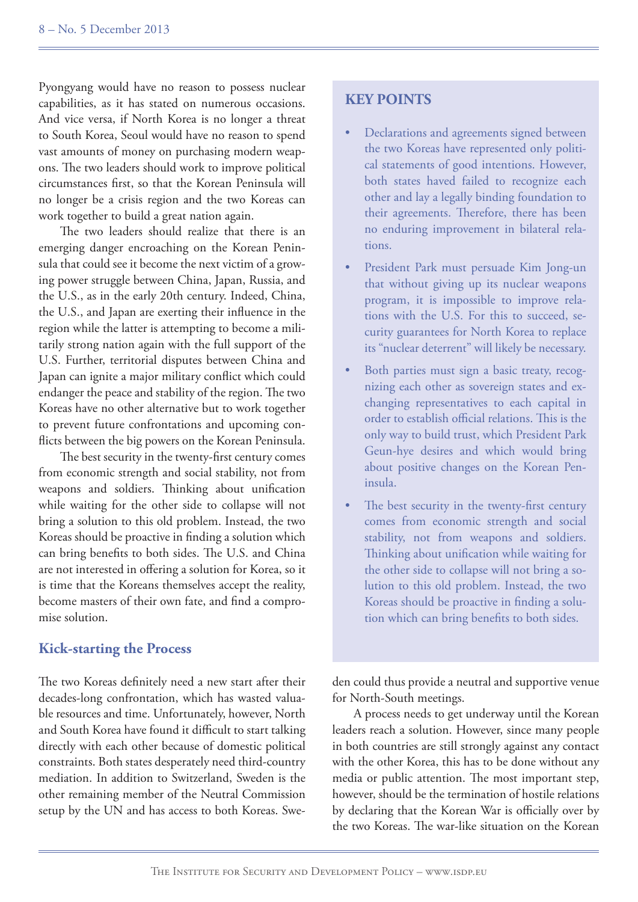Pyongyang would have no reason to possess nuclear capabilities, as it has stated on numerous occasions. And vice versa, if North Korea is no longer a threat to South Korea, Seoul would have no reason to spend vast amounts of money on purchasing modern weapons. The two leaders should work to improve political circumstances first, so that the Korean Peninsula will no longer be a crisis region and the two Koreas can work together to build a great nation again.

The two leaders should realize that there is an emerging danger encroaching on the Korean Peninsula that could see it become the next victim of a growing power struggle between China, Japan, Russia, and the U.S., as in the early 20th century. Indeed, China, the U.S., and Japan are exerting their influence in the region while the latter is attempting to become a militarily strong nation again with the full support of the U.S. Further, territorial disputes between China and Japan can ignite a major military conflict which could endanger the peace and stability of the region. The two Koreas have no other alternative but to work together to prevent future confrontations and upcoming conflicts between the big powers on the Korean Peninsula.

The best security in the twenty-first century comes from economic strength and social stability, not from weapons and soldiers. Thinking about unification while waiting for the other side to collapse will not bring a solution to this old problem. Instead, the two Koreas should be proactive in finding a solution which can bring benefits to both sides. The U.S. and China are not interested in offering a solution for Korea, so it is time that the Koreans themselves accept the reality, become masters of their own fate, and find a compromise solution.

#### **Kick-starting the Process**

The two Koreas definitely need a new start after their decades-long confrontation, which has wasted valuable resources and time. Unfortunately, however, North and South Korea have found it difficult to start talking directly with each other because of domestic political constraints. Both states desperately need third-country mediation. In addition to Switzerland, Sweden is the other remaining member of the Neutral Commission setup by the UN and has access to both Koreas. Swe-

# **KEY POINTS**

- Declarations and agreements signed between the two Koreas have represented only political statements of good intentions. However, both states haved failed to recognize each other and lay a legally binding foundation to their agreements. Therefore, there has been no enduring improvement in bilateral relations.
- President Park must persuade Kim Jong-un that without giving up its nuclear weapons program, it is impossible to improve relations with the U.S. For this to succeed, security guarantees for North Korea to replace its "nuclear deterrent" will likely be necessary.
- Both parties must sign a basic treaty, recognizing each other as sovereign states and exchanging representatives to each capital in order to establish official relations. This is the only way to build trust, which President Park Geun-hye desires and which would bring about positive changes on the Korean Peninsula.
- The best security in the twenty-first century comes from economic strength and social stability, not from weapons and soldiers. Thinking about unification while waiting for the other side to collapse will not bring a solution to this old problem. Instead, the two Koreas should be proactive in finding a solution which can bring benefits to both sides.

den could thus provide a neutral and supportive venue for North-South meetings.

A process needs to get underway until the Korean leaders reach a solution. However, since many people in both countries are still strongly against any contact with the other Korea, this has to be done without any media or public attention. The most important step, however, should be the termination of hostile relations by declaring that the Korean War is officially over by the two Koreas. The war-like situation on the Korean